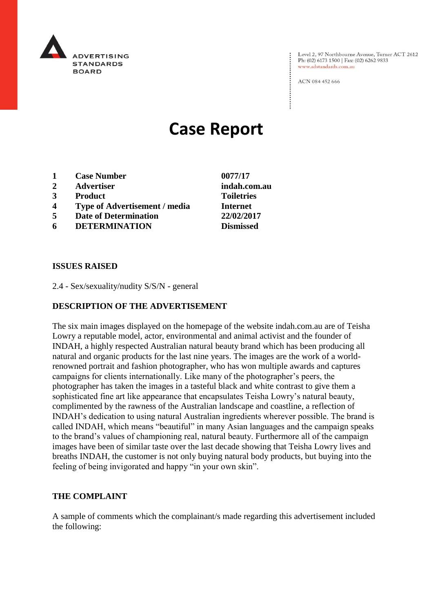

Level 2, 97 Northbourne Avenue, Turner ACT 2612 Ph: (02) 6173 1500 | Fax: (02) 6262 9833 www.adstandards.com.au

ACN 084 452 666

# **Case Report**

- **1 Case Number 0077/17**
- **2 Advertiser indah.com.au**
- **3 Product Toiletries**
- **4 Type of Advertisement / media Internet**
- **5 Date of Determination 22/02/2017**
- **6 DETERMINATION Dismissed**

**ISSUES RAISED**

2.4 - Sex/sexuality/nudity S/S/N - general

### **DESCRIPTION OF THE ADVERTISEMENT**

The six main images displayed on the homepage of the website indah.com.au are of Teisha Lowry a reputable model, actor, environmental and animal activist and the founder of INDAH, a highly respected Australian natural beauty brand which has been producing all natural and organic products for the last nine years. The images are the work of a worldrenowned portrait and fashion photographer, who has won multiple awards and captures campaigns for clients internationally. Like many of the photographer's peers, the photographer has taken the images in a tasteful black and white contrast to give them a sophisticated fine art like appearance that encapsulates Teisha Lowry's natural beauty, complimented by the rawness of the Australian landscape and coastline, a reflection of INDAH's dedication to using natural Australian ingredients wherever possible. The brand is called INDAH, which means "beautiful" in many Asian languages and the campaign speaks to the brand's values of championing real, natural beauty. Furthermore all of the campaign images have been of similar taste over the last decade showing that Teisha Lowry lives and breaths INDAH, the customer is not only buying natural body products, but buying into the feeling of being invigorated and happy "in your own skin".

#### **THE COMPLAINT**

A sample of comments which the complainant/s made regarding this advertisement included the following: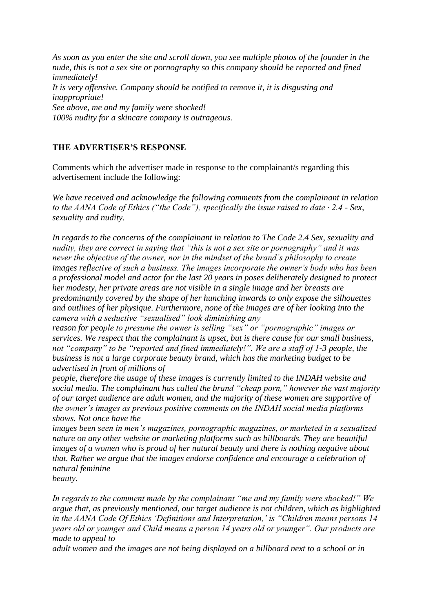*As soon as you enter the site and scroll down, you see multiple photos of the founder in the nude, this is not a sex site or pornography so this company should be reported and fined immediately! It is very offensive. Company should be notified to remove it, it is disgusting and inappropriate! See above, me and my family were shocked! 100% nudity for a skincare company is outrageous.*

## **THE ADVERTISER'S RESPONSE**

Comments which the advertiser made in response to the complainant/s regarding this advertisement include the following:

*We have received and acknowledge the following comments from the complainant in relation to the AANA Code of Ethics ("the Code"), specifically the issue raised to date · 2.4 - Sex, sexuality and nudity.*

*In regards to the concerns of the complainant in relation to The Code 2.4 Sex, sexuality and nudity, they are correct in saying that "this is not a sex site or pornography" and it was never the objective of the owner, nor in the mindset of the brand's philosophy to create images reflective of such a business. The images incorporate the owner's body who has been a professional model and actor for the last 20 years in poses deliberately designed to protect her modesty, her private areas are not visible in a single image and her breasts are predominantly covered by the shape of her hunching inwards to only expose the silhouettes and outlines of her physique. Furthermore, none of the images are of her looking into the camera with a seductive "sexualised" look diminishing any*

*reason for people to presume the owner is selling "sex" or "pornographic" images or services. We respect that the complainant is upset, but is there cause for our small business, not "company" to be "reported and fined immediately!". We are a staff of 1-3 people, the business is not a large corporate beauty brand, which has the marketing budget to be advertised in front of millions of*

*people, therefore the usage of these images is currently limited to the INDAH website and social media. The complainant has called the brand "cheap porn," however the vast majority of our target audience are adult women, and the majority of these women are supportive of the owner's images as previous positive comments on the INDAH social media platforms shows. Not once have the*

*images been seen in men's magazines, pornographic magazines, or marketed in a sexualized nature on any other website or marketing platforms such as billboards. They are beautiful images of a women who is proud of her natural beauty and there is nothing negative about that. Rather we argue that the images endorse confidence and encourage a celebration of natural feminine*

*beauty.*

*In regards to the comment made by the complainant "me and my family were shocked!" We argue that, as previously mentioned, our target audience is not children, which as highlighted in the AANA Code Of Ethics 'Definitions and Interpretation,' is "Children means persons 14 years old or younger and Child means a person 14 years old or younger". Our products are made to appeal to*

*adult women and the images are not being displayed on a billboard next to a school or in*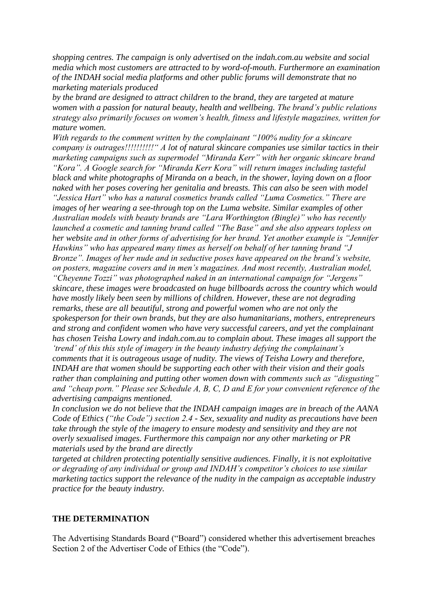*shopping centres. The campaign is only advertised on the indah.com.au website and social media which most customers are attracted to by word-of-mouth. Furthermore an examination of the INDAH social media platforms and other public forums will demonstrate that no marketing materials produced*

*by the brand are designed to attract children to the brand, they are targeted at mature women with a passion for natural beauty, health and wellbeing. The brand's public relations strategy also primarily focuses on women's health, fitness and lifestyle magazines, written for mature women.*

*With regards to the comment written by the complainant "100% nudity for a skincare company is outrages!!!!!!!!!!" A lot of natural skincare companies use similar tactics in their marketing campaigns such as supermodel "Miranda Kerr" with her organic skincare brand "Kora". A Google search for "Miranda Kerr Kora" will return images including tasteful black and white photographs of Miranda on a beach, in the shower, laying down on a floor naked with her poses covering her genitalia and breasts. This can also be seen with model "Jessica Hart" who has a natural cosmetics brands called "Luma Cosmetics." There are images of her wearing a see-through top on the Luma website. Similar examples of other Australian models with beauty brands are "Lara Worthington (Bingle)" who has recently launched a cosmetic and tanning brand called "The Base" and she also appears topless on her website and in other forms of advertising for her brand. Yet another example is "Jennifer Hawkins" who has appeared many times as herself on behalf of her tanning brand "J Bronze". Images of her nude and in seductive poses have appeared on the brand's website, on posters, magazine covers and in men's magazines. And most recently, Australian model, "Cheyenne Tozzi" was photographed naked in an international campaign for "Jergens" skincare, these images were broadcasted on huge billboards across the country which would have mostly likely been seen by millions of children. However, these are not degrading remarks, these are all beautiful, strong and powerful women who are not only the spokesperson for their own brands, but they are also humanitarians, mothers, entrepreneurs and strong and confident women who have very successful careers, and yet the complainant has chosen Teisha Lowry and indah.com.au to complain about. These images all support the 'trend' of this this style of imagery in the beauty industry defying the complainant's comments that it is outrageous usage of nudity. The views of Teisha Lowry and therefore, INDAH are that women should be supporting each other with their vision and their goals rather than complaining and putting other women down with comments such as "disgusting" and "cheap porn." Please see Schedule A, B, C, D and E for your convenient reference of the advertising campaigns mentioned.*

*In conclusion we do not believe that the INDAH campaign images are in breach of the AANA Code of Ethics ("the Code") section 2.4 - Sex, sexuality and nudity as precautions have been take through the style of the imagery to ensure modesty and sensitivity and they are not overly sexualised images. Furthermore this campaign nor any other marketing or PR materials used by the brand are directly*

*targeted at children protecting potentially sensitive audiences. Finally, it is not exploitative or degrading of any individual or group and INDAH's competitor's choices to use similar marketing tactics support the relevance of the nudity in the campaign as acceptable industry practice for the beauty industry.*

#### **THE DETERMINATION**

The Advertising Standards Board ("Board") considered whether this advertisement breaches Section 2 of the Advertiser Code of Ethics (the "Code").